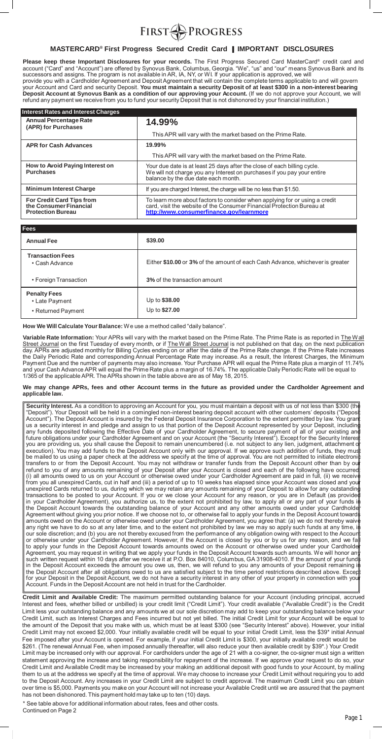

# **MASTERCARD® First Progress Secured Credit Card | IMPORTANT DISCLOSURES**

**Please keep these Important Disclosures for your records.** The First Progress Secured Card MasterCard® credit card and account ("Card" and "Account") are offered by Synovus Bank, Columbus, Georgia. "We", "us" and "our" means Synovus Bank and its successors and assigns. The program is not available in AR, IA, NY, or WI. If your application is approved, we will provide you with a Cardholder Agreement and Deposit Agreement that will contain the complete terms applicable to and will govern your Account and Card and security Deposit. **You must maintain a security Deposit of at least \$300 in a non-interest bearing Deposit Account at Synovus Bank as a condition of our approving your Account.** (If we do not approve your Account, we will refund any payment we receive from you to fund your security Deposit that is not dishonored by your financial institution.)

| <b>Interest Rates and Interest Charges</b>                                      |                                                                                                                                                                                                   |
|---------------------------------------------------------------------------------|---------------------------------------------------------------------------------------------------------------------------------------------------------------------------------------------------|
| <b>Annual Percentage Rate</b><br>(APR) for Purchases                            | 14.99%                                                                                                                                                                                            |
|                                                                                 | This APR will vary with the market based on the Prime Rate.                                                                                                                                       |
| <b>APR for Cash Advances</b>                                                    | 19.99%                                                                                                                                                                                            |
|                                                                                 | This APR will vary with the market based on the Prime Rate.                                                                                                                                       |
| How to Avoid Paying Interest on<br><b>Purchases</b>                             | Your due date is at least 25 days after the close of each billing cycle.<br>We will not charge you any Interest on purchases if you pay your entire<br>balance by the due date each month.        |
| <b>Minimum Interest Charge</b>                                                  | If you are charged Interest, the charge will be no less than \$1.50.                                                                                                                              |
| For Credit Card Tips from<br>the Consumer Financial<br><b>Protection Bureau</b> | To learn more about factors to consider when applying for or using a credit<br>card, visit the website of the Consumer Financial Protection Bureau at<br>http://www.consumerfinance.gov/learnmore |

| <b>Fees</b>                                                 |                                                                               |
|-------------------------------------------------------------|-------------------------------------------------------------------------------|
| <b>Annual Fee</b>                                           | \$39.00                                                                       |
| <b>Transaction Fees</b><br>• Cash Advance                   | Either \$10.00 or 3% of the amount of each Cash Advance, whichever is greater |
| • Foreign Transaction                                       | <b>3% of the transaction amount</b>                                           |
| <b>Penalty Fees</b><br>• Late Payment<br>• Returned Payment | Up to \$38.00<br>Up to \$27.00                                                |

**How We Will Calculate Your Balance:** We use a method called "daily balance".

**Variable Rate Information:** Your APRs will vary with the market based on the Prime Rate. The Prime Rate is as reported in The W all Street Journal on the first Tuesday of every month, or if The Wall Street Journal is not published on that day, on the next publication day. APRs are adjusted monthly for Billing Cycles ending on or after the date of the Prime Rate change. If the Prime Rate increases the Daily Periodic Rate and corresponding Annual Percentage Rate may increase. As a result, the Interest Charges, the Minimum Payment Due and the number of payments may also increase. Your Purchase APR will equal the Prime Rate plus a margin of 11.74% and your Cash Advance APR will equal the Prime Rate plus a margin of 16.74%. The applicable Daily Periodic Rate will be equal to 1/365 of the applicable APR. The APRs shown in the table above are as of May 18, 2015.

#### **We may change APRs, fees and other Account terms in the future as provided under the Cardholder Agreement and applicable law.**

**Security Interest.** As a condition to approving an Account for you, you must maintain a deposit with us of not less than \$300 (the "Deposit"). Your Deposit will be held in a comingled non-interest bearing deposit account with other customers' deposits ("Deposit Account"). The Deposit Account is insured by the Federal Deposit Insurance Corporation to the extent permitted by law. You grant us a security interest in and pledge and assign to us that portion of the Deposit Account represented by your Deposit, including any funds deposited following the Effective Date of your Cardholder Agreement, to secure payment of all of your existing and future obligations under your Cardholder Agreement and on your Account (the "Security Interest"). Except for the Security Interest you are providing us, you shall cause the Deposit to remain unencumbered (i.e. not subject to any lien, judgment, attachment or execution). You may add funds to the Deposit Account only with our approval. If we approve such addition of funds, they must be mailed to us using a paper check at the address we specify at the time of approval. You are not permitted to initiate electronic transfers to or from the Deposit Account. You may not withdraw or transfer funds from the Deposit Account other than by our refund to you of any amounts remaining of your Deposit after your Account is closed and each of the following have occurred: (i) all amounts owed to us on your Account or otherwise owed under your Cardholder Agreement are paid in full, (ii) we receive from you all unexpired Cards, cut in half and (iii) a period of up to 10 weeks has elapsed since your Account was closed and your unexpired Cards returned to us, during which we may retain any amounts remaining of your Deposit to allow for any outstanding transactions to be posted to your Account. If you or we close your Account for any reason, or you are in Default (as provided in your Cardholder Agreement), you authorize us, to the extent not prohibited by law, to apply all or any part of your funds in the Deposit Account towards the outstanding balance of your Account and any other amounts owed under your Cardholder Agreement without giving you prior notice. If we choose not to, or otherwise fail to apply your funds in the Deposit Account towards amounts owed on the Account or otherwise owed under your Cardholder Agreement, you agree that: (a) we do not thereby waive any right we have to do so at any later time, and to the extent not prohibited by law we may so apply such funds at any time, in our sole discretion; and (b) you are not thereby excused from the performance of any obligation owing with respect to the Account or otherwise under your Cardholder Agreement. However, if the Account is closed by you or by us for any reason, and we fail to apply your funds in the Deposit Account towards amounts owed on the Account or otherwise owed under your Cardholde Agreement, you may request in writing that we apply your funds in the Deposit Account towards such amounts. We will honor any such written request within 10 days after we receive it at P.O. Box 84010, Columbus, GA 31908-4010. If the amount of your fund in the Deposit Account exceeds the amount you owe us, then, we will refund to you any amounts of your Deposit remaining in the Deposit Account after all obligations owed to us are satisfied subject to the time period restrictions described above. Except for your Deposit in the Deposit Account, we do not have a security interest in any other of your property in connection with your Account. Funds in the Deposit Account are not held in trust for the Cardholder.

**Credit Limit and Available Credit:** The maximum permitted outstanding balance for your Account (including principal, accrued Interest and fees, whether billed or unbilled) is your credit limit ("Credit Limit"). Your credit available ("Available Credit") is the Credit Limit less your outstanding balance and any amounts we at our sole discretion may add to keep your outstanding balance below your Credit Limit, such as Interest Charges and Fees incurred but not yet billed. The initial Credit Limit for your Account will be equal to the amount of the Deposit that you make with us, which must be at least \$300 (see "Security Interest" above). However, your initial Credit Limit may not exceed \$2,000. Your initially available credit will be equal to your initial Credit Limit, less the \$39\* initial Annual Fee imposed after your Account is opened. For example, if your initial Credit Limit is \$300, your initially available credit would be \$261. (The renewal Annual Fee, when imposed annually thereafter, will also reduce your then available credit by \$39\*.) Your Credit Limit may be increased only with our approval. For cardholders under the age of 21 with a co-signer, the co-signer must sign a written statement approving the increase and taking responsibility for repayment of the increase. If we approve your request to do so, your Credit Limit and Available Credit may be increased by your making an additional deposit with good funds to your Account, by mailing them to us at the address we specify at the time of approval. We may choose to increase your Credit Limit without requiring you to add to the Deposit Account. Any increases in your Credit Limit are subject to credit approval. The maximum Credit Limit you can obtain over time is \$5,000. Payments you make on your Account will not increase your Available Credit until we are assured that the payment has not been dishonored. This payment hold may take up to ten (10) days.

\* See table above for additional information about rates, fees and other costs. Continued on Page 2